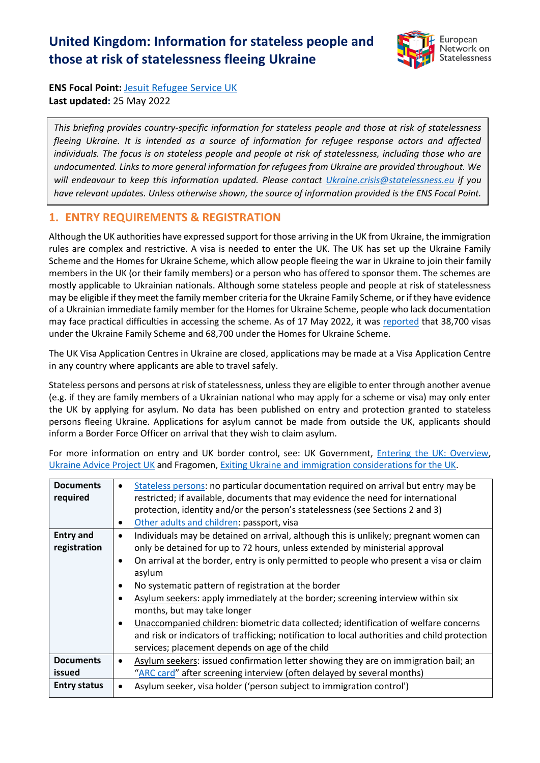# **United Kingdom: Information for stateless people and those at risk of statelessness fleeing Ukraine**



**ENS Focal Point:** [Jesuit Refugee Service UK](https://www.jrsuk.net/) **Last updated:** 25 May 2022

*This briefing provides country-specific information for stateless people and those at risk of statelessness fleeing Ukraine. It is intended as a source of information for refugee response actors and affected individuals. The focus is on stateless people and people at risk of statelessness, including those who are undocumented. Links to more general information for refugees from Ukraine are provided throughout. We will endeavour to keep this information updated. Please contact [Ukraine.crisis@statelessness.eu](mailto:Ukraine.crisis@statelessness.eu) if you have relevant updates. Unless otherwise shown, the source of information provided is the ENS Focal Point.*

## **1. ENTRY REQUIREMENTS & REGISTRATION**

Although the UK authorities have expressed support for those arriving in the UK from Ukraine, the immigration rules are complex and restrictive. A visa is needed to enter the UK. The UK has set up the Ukraine Family Scheme and the Homes for Ukraine Scheme, which allow people fleeing the war in Ukraine to join their family members in the UK (or their family members) or a person who has offered to sponsor them. The schemes are mostly applicable to Ukrainian nationals. Although some stateless people and people at risk of statelessness may be eligible if they meet the family member criteria for the Ukraine Family Scheme, or if they have evidence of a Ukrainian immediate family member for the Homes for Ukraine Scheme, people who lack documentation may face practical difficulties in accessing the scheme. As of 17 May 2022, it was [reported](https://www.gov.uk/government/publications/ukraine-family-scheme-application-data/ukraine-family-scheme-and-ukraine-sponsorship-scheme-homes-for-ukraine-visa-data) that 38,700 visas under the Ukraine Family Scheme and 68,700 under the Homes for Ukraine Scheme.

The UK Visa Application Centres in Ukraine are closed, applications may be made at a Visa Application Centre in any country where applicants are able to travel safely.

Stateless persons and persons at risk of statelessness, unless they are eligible to enter through another avenue (e.g. if they are family members of a Ukrainian national who may apply for a scheme or visa) may only enter the UK by applying for asylum. No data has been published on entry and protection granted to stateless persons fleeing Ukraine. Applications for asylum cannot be made from outside the UK, applicants should inform a Border Force Officer on arrival that they wish to claim asylum.

| <b>Documents</b><br>required                      | Stateless persons: no particular documentation required on arrival but entry may be<br>$\bullet$<br>restricted; if available, documents that may evidence the need for international<br>protection, identity and/or the person's statelessness (see Sections 2 and 3)<br>Other adults and children: passport, visa<br>$\bullet$                                                                                                                                                                                                                                                                                                                                                                                                                                  |
|---------------------------------------------------|------------------------------------------------------------------------------------------------------------------------------------------------------------------------------------------------------------------------------------------------------------------------------------------------------------------------------------------------------------------------------------------------------------------------------------------------------------------------------------------------------------------------------------------------------------------------------------------------------------------------------------------------------------------------------------------------------------------------------------------------------------------|
| <b>Entry and</b><br>registration                  | Individuals may be detained on arrival, although this is unlikely; pregnant women can<br>$\bullet$<br>only be detained for up to 72 hours, unless extended by ministerial approval<br>On arrival at the border, entry is only permitted to people who present a visa or claim<br>$\bullet$<br>asylum<br>No systematic pattern of registration at the border<br>$\bullet$<br>Asylum seekers: apply immediately at the border; screening interview within six<br>$\bullet$<br>months, but may take longer<br>Unaccompanied children: biometric data collected; identification of welfare concerns<br>$\bullet$<br>and risk or indicators of trafficking; notification to local authorities and child protection<br>services; placement depends on age of the child |
| <b>Documents</b><br>issued<br><b>Entry status</b> | Asylum seekers: issued confirmation letter showing they are on immigration bail; an<br>$\bullet$<br>"ARC card" after screening interview (often delayed by several months)<br>Asylum seeker, visa holder ('person subject to immigration control')                                                                                                                                                                                                                                                                                                                                                                                                                                                                                                               |
|                                                   |                                                                                                                                                                                                                                                                                                                                                                                                                                                                                                                                                                                                                                                                                                                                                                  |

For more information on entry and UK border control, see: UK Government, *Entering the UK: Overview*, [Ukraine Advice Project UK](https://advice-ukraine.co.uk/) and Fragomen, [Exiting Ukraine and immigration considerations for the UK.](https://www.fragomen.com/a/web/oQM8tcJVwW32ZETKH5osts/exiting-ukraine-and-immigration-considerations-for-the-uk.pdf)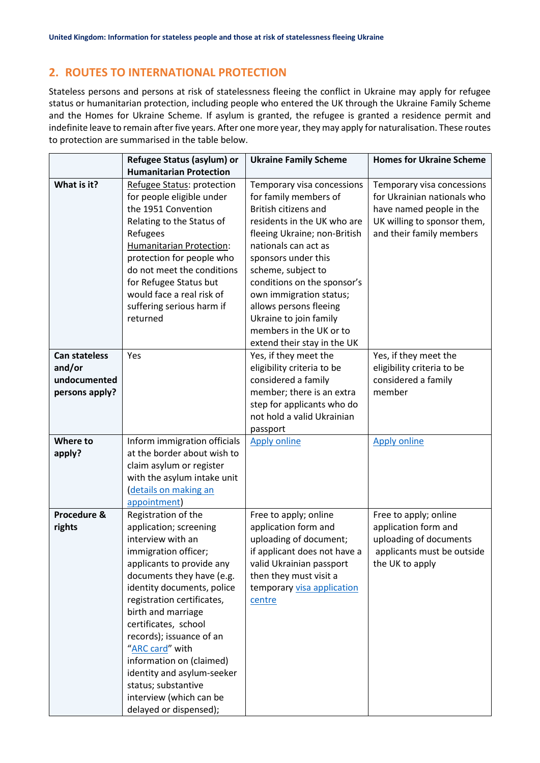## **2. ROUTES TO INTERNATIONAL PROTECTION**

Stateless persons and persons at risk of statelessness fleeing the conflict in Ukraine may apply for refugee status or humanitarian protection, including people who entered the UK through the Ukraine Family Scheme and the Homes for Ukraine Scheme. If asylum is granted, the refugee is granted a residence permit and indefinite leave to remain after five years. After one more year, they may apply for naturalisation. These routes to protection are summarised in the table below.

|                      | Refugee Status (asylum) or      | <b>Ukraine Family Scheme</b> | <b>Homes for Ukraine Scheme</b> |
|----------------------|---------------------------------|------------------------------|---------------------------------|
|                      | <b>Humanitarian Protection</b>  |                              |                                 |
| What is it?          | Refugee Status: protection      | Temporary visa concessions   | Temporary visa concessions      |
|                      | for people eligible under       | for family members of        | for Ukrainian nationals who     |
|                      | the 1951 Convention             | <b>British citizens and</b>  | have named people in the        |
|                      | Relating to the Status of       | residents in the UK who are  | UK willing to sponsor them,     |
|                      | Refugees                        | fleeing Ukraine; non-British | and their family members        |
|                      | <b>Humanitarian Protection:</b> | nationals can act as         |                                 |
|                      | protection for people who       | sponsors under this          |                                 |
|                      | do not meet the conditions      | scheme, subject to           |                                 |
|                      | for Refugee Status but          | conditions on the sponsor's  |                                 |
|                      | would face a real risk of       | own immigration status;      |                                 |
|                      | suffering serious harm if       | allows persons fleeing       |                                 |
|                      | returned                        | Ukraine to join family       |                                 |
|                      |                                 | members in the UK or to      |                                 |
|                      |                                 | extend their stay in the UK  |                                 |
| <b>Can stateless</b> | Yes                             | Yes, if they meet the        | Yes, if they meet the           |
| and/or               |                                 | eligibility criteria to be   | eligibility criteria to be      |
| undocumented         |                                 | considered a family          | considered a family             |
| persons apply?       |                                 | member; there is an extra    | member                          |
|                      |                                 | step for applicants who do   |                                 |
|                      |                                 | not hold a valid Ukrainian   |                                 |
|                      |                                 | passport                     |                                 |
| Where to             | Inform immigration officials    | <b>Apply online</b>          | <b>Apply online</b>             |
| apply?               | at the border about wish to     |                              |                                 |
|                      | claim asylum or register        |                              |                                 |
|                      | with the asylum intake unit     |                              |                                 |
|                      | details on making an            |                              |                                 |
|                      | appointment)                    |                              |                                 |
| Procedure &          | Registration of the             | Free to apply; online        | Free to apply; online           |
| rights               | application; screening          | application form and         | application form and            |
|                      | interview with an               | uploading of document;       | uploading of documents          |
|                      | immigration officer;            | if applicant does not have a | applicants must be outside      |
|                      | applicants to provide any       | valid Ukrainian passport     | the UK to apply                 |
|                      | documents they have (e.g.       | then they must visit a       |                                 |
|                      | identity documents, police      | temporary visa application   |                                 |
|                      | registration certificates,      | centre                       |                                 |
|                      | birth and marriage              |                              |                                 |
|                      | certificates, school            |                              |                                 |
|                      | records); issuance of an        |                              |                                 |
|                      | "ARC card" with                 |                              |                                 |
|                      | information on (claimed)        |                              |                                 |
|                      | identity and asylum-seeker      |                              |                                 |
|                      | status; substantive             |                              |                                 |
|                      | interview (which can be         |                              |                                 |
|                      | delayed or dispensed);          |                              |                                 |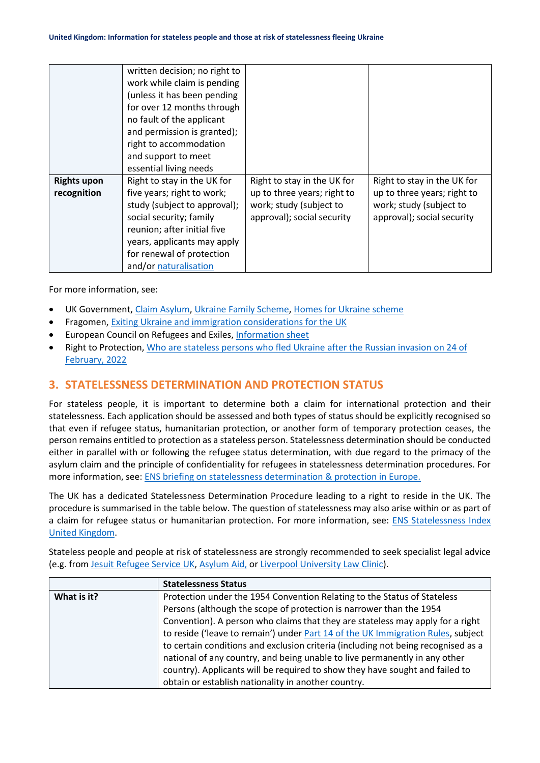|                    | written decision; no right to |                             |                             |
|--------------------|-------------------------------|-----------------------------|-----------------------------|
|                    |                               |                             |                             |
|                    | work while claim is pending   |                             |                             |
|                    | (unless it has been pending   |                             |                             |
|                    | for over 12 months through    |                             |                             |
|                    | no fault of the applicant     |                             |                             |
|                    | and permission is granted);   |                             |                             |
|                    | right to accommodation        |                             |                             |
|                    | and support to meet           |                             |                             |
|                    | essential living needs        |                             |                             |
| <b>Rights upon</b> | Right to stay in the UK for   | Right to stay in the UK for | Right to stay in the UK for |
| recognition        | five years; right to work;    | up to three years; right to | up to three years; right to |
|                    | study (subject to approval);  | work; study (subject to     | work; study (subject to     |
|                    | social security; family       | approval); social security  | approval); social security  |
|                    | reunion; after initial five   |                             |                             |
|                    | years, applicants may apply   |                             |                             |
|                    | for renewal of protection     |                             |                             |
|                    | and/or naturalisation         |                             |                             |

For more information, see:

- UK Government, [Claim Asylum,](https://www.gov.uk/claim-asylum) [Ukraine Family Scheme,](https://www.gov.uk/guidance/apply-for-a-ukraine-family-scheme-visa) [Homes for Ukraine scheme](https://www.gov.uk/guidance/homes-for-ukraine-scheme-frequently-asked-questions)
- Fragomen[, Exiting Ukraine and immigration considerations for the UK](https://www.fragomen.com/a/web/oQM8tcJVwW32ZETKH5osts/exiting-ukraine-and-immigration-considerations-for-the-uk.pdf)
- [European Council on Refugees and Exiles, Information sheet](https://ecre.org/wp-content/uploads/2022/03/Information-Sheet-%E2%80%93-Access-to-territory-asylum-procedures-and-reception-conditions-for-Ukrainian-nationals-in-European-countries.pdf)
- Right to Protection, [Who are stateless persons who fled Ukraine after the Russian invasion on 24 of](https://r2p.org.ua/stateless-persons-fled-ukraine-after-2022/?lang=en)  [February, 2022](https://r2p.org.ua/stateless-persons-fled-ukraine-after-2022/?lang=en)

#### **3. STATELESSNESS DETERMINATION AND PROTECTION STATUS**

For stateless people, it is important to determine both a claim for international protection and their statelessness. Each application should be assessed and both types of status should be explicitly recognised so that even if refugee status, humanitarian protection, or another form of temporary protection ceases, the person remains entitled to protection as a stateless person. Statelessness determination should be conducted either in parallel with or following the refugee status determination, with due regard to the primacy of the asylum claim and the principle of confidentiality for refugees in statelessness determination procedures. For more information, see: [ENS briefing on statelessness determination & protection in Europe.](https://index.statelessness.eu/sites/default/files/ENS-Statelessness_determination_and_protection_in_Europe-Sep_2021.pdf)

The UK has a dedicated Statelessness Determination Procedure leading to a right to reside in the UK. The procedure is summarised in the table below. The question of statelessness may also arise within or as part of a claim for refugee status or humanitarian protection. For more information, see: ENS Statelessness Index [United Kingdom.](https://index.statelessness.eu/country/united-kingdom)

Stateless people and people at risk of statelessness are strongly recommended to seek specialist legal advice (e.g. from [Jesuit Refugee Service UK,](https://www.jrsuk.net/) [Asylum Aid,](https://asylumaid.org.uk/) or [Liverpool University Law Clinic\).](http://www.liv.ac.uk/law/liverpool-law-clinic/)

|             | <b>Statelessness Status</b>                                                       |
|-------------|-----------------------------------------------------------------------------------|
| What is it? | Protection under the 1954 Convention Relating to the Status of Stateless          |
|             | Persons (although the scope of protection is narrower than the 1954               |
|             | Convention). A person who claims that they are stateless may apply for a right    |
|             | to reside ('leave to remain') under Part 14 of the UK Immigration Rules, subject  |
|             | to certain conditions and exclusion criteria (including not being recognised as a |
|             | national of any country, and being unable to live permanently in any other        |
|             | country). Applicants will be required to show they have sought and failed to      |
|             | obtain or establish nationality in another country.                               |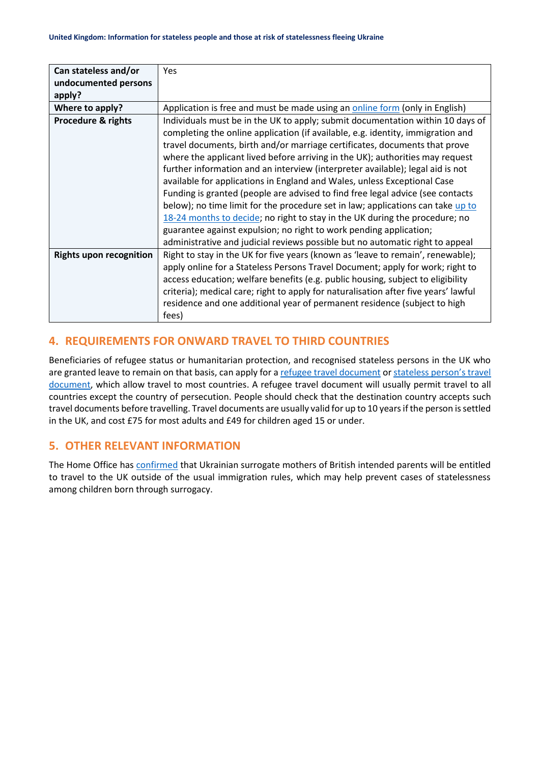| Can stateless and/or           | Yes                                                                                 |
|--------------------------------|-------------------------------------------------------------------------------------|
| undocumented persons           |                                                                                     |
| apply?                         |                                                                                     |
| Where to apply?                | Application is free and must be made using an online form (only in English)         |
| <b>Procedure &amp; rights</b>  | Individuals must be in the UK to apply; submit documentation within 10 days of      |
|                                | completing the online application (if available, e.g. identity, immigration and     |
|                                | travel documents, birth and/or marriage certificates, documents that prove          |
|                                | where the applicant lived before arriving in the UK); authorities may request       |
|                                | further information and an interview (interpreter available); legal aid is not      |
|                                | available for applications in England and Wales, unless Exceptional Case            |
|                                | Funding is granted (people are advised to find free legal advice (see contacts      |
|                                | below); no time limit for the procedure set in law; applications can take up to     |
|                                | 18-24 months to decide; no right to stay in the UK during the procedure; no         |
|                                | guarantee against expulsion; no right to work pending application;                  |
|                                | administrative and judicial reviews possible but no automatic right to appeal       |
| <b>Rights upon recognition</b> | Right to stay in the UK for five years (known as 'leave to remain', renewable);     |
|                                | apply online for a Stateless Persons Travel Document; apply for work; right to      |
|                                | access education; welfare benefits (e.g. public housing, subject to eligibility     |
|                                | criteria); medical care; right to apply for naturalisation after five years' lawful |
|                                | residence and one additional year of permanent residence (subject to high           |
|                                | fees)                                                                               |

## **4. REQUIREMENTS FOR ONWARD TRAVEL TO THIRD COUNTRIES**

Beneficiaries of refugee status or humanitarian protection, and recognised stateless persons in the UK who are granted leave to remain on that basis, can apply for [a refugee travel document](https://www.gov.uk/apply-home-office-travel-document/refugee-travel-document) or stateless person's travel [document,](https://www.gov.uk/apply-home-office-travel-document/stateless-persons-travel-document) which allow travel to most countries. A refugee travel document will usually permit travel to all countries except the country of persecution. People should check that the destination country accepts such travel documents before travelling. Travel documents are usually valid for up to 10 years if the person is settled in the UK, and cost £75 for most adults and £49 for children aged 15 or under.

## **5. OTHER RELEVANT INFORMATION**

The Home Office has [confirmed](https://ecre.org/wp-content/uploads/2022/03/Information-Sheet-%E2%80%93-Access-to-territory-asylum-procedures-and-reception-conditions-for-Ukrainian-nationals-in-European-countries.pdf) that Ukrainian surrogate mothers of British intended parents will be entitled to travel to the UK outside of the usual immigration rules, which may help prevent cases of statelessness among children born through surrogacy.